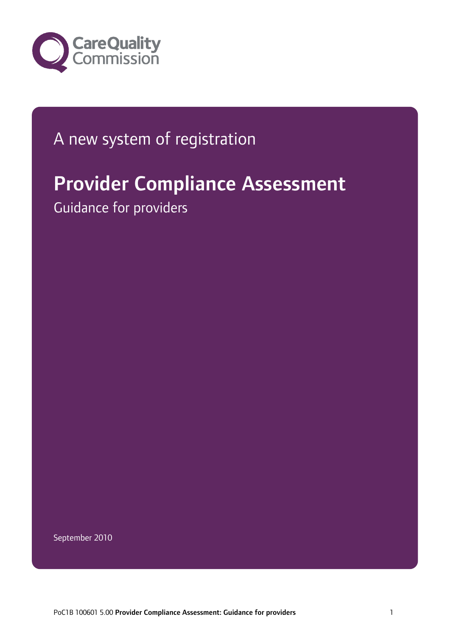

# A new system of registration

# Provider Compliance Assessment

Guidance for providers

September 2010

PoC1B 100601 5.00 Provider Compliance Assessment: Guidance for providers 1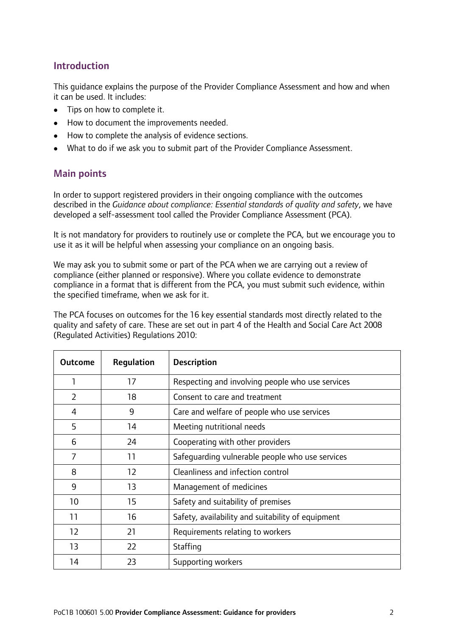# Introduction

This guidance explains the purpose of the Provider Compliance Assessment and how and when it can be used. It includes:

- Tips on how to complete it.
- How to document the improvements needed.
- How to complete the analysis of evidence sections.
- What to do if we ask you to submit part of the Provider Compliance Assessment.

## Main points

In order to support registered providers in their ongoing compliance with the outcomes described in the *Guidance about compliance: Essential standards of quality and safety*, we have developed a self-assessment tool called the Provider Compliance Assessment (PCA).

It is not mandatory for providers to routinely use or complete the PCA, but we encourage you to use it as it will be helpful when assessing your compliance on an ongoing basis.

We may ask you to submit some or part of the PCA when we are carrying out a review of compliance (either planned or responsive). Where you collate evidence to demonstrate compliance in a format that is different from the PCA, you must submit such evidence, within the specified timeframe, when we ask for it.

The PCA focuses on outcomes for the 16 key essential standards most directly related to the quality and safety of care. These are set out in part 4 of the Health and Social Care Act 2008 (Regulated Activities) Regulations 2010:

| <b>Outcome</b> | Regulation | <b>Description</b>                                |
|----------------|------------|---------------------------------------------------|
| 1              | 17         | Respecting and involving people who use services  |
| $\overline{2}$ | 18         | Consent to care and treatment                     |
| 4              | 9          | Care and welfare of people who use services       |
| 5              | 14         | Meeting nutritional needs                         |
| 6              | 24         | Cooperating with other providers                  |
| $\overline{7}$ | 11         | Safeguarding vulnerable people who use services   |
| 8              | 12         | Cleanliness and infection control                 |
| 9              | 13         | Management of medicines                           |
| 10             | 15         | Safety and suitability of premises                |
| 11             | 16         | Safety, availability and suitability of equipment |
| 12             | 21         | Requirements relating to workers                  |
| 13             | 22         | Staffing                                          |
| 14             | 23         | Supporting workers                                |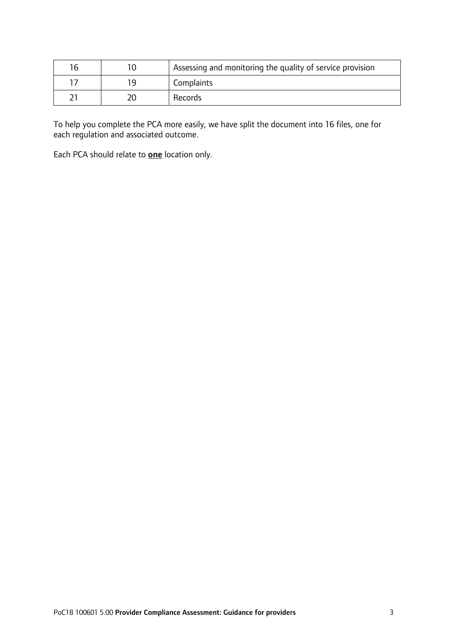| 16 |     | Assessing and monitoring the quality of service provision |
|----|-----|-----------------------------------------------------------|
|    | 1 Q | Complaints                                                |
|    |     | Records                                                   |

To help you complete the PCA more easily, we have split the document into 16 files, one for each regulation and associated outcome.

Each PCA should relate to **one** location only.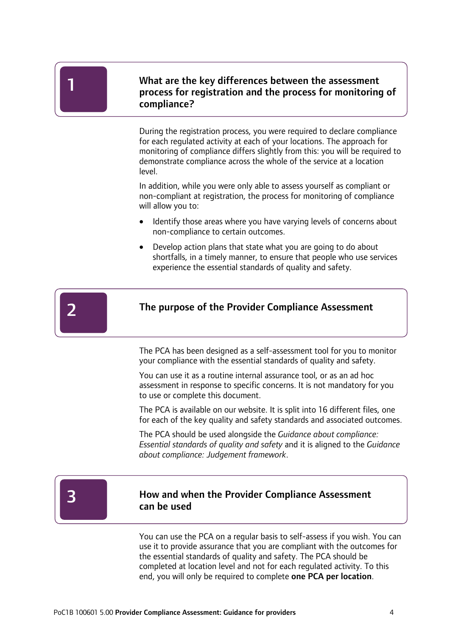Ī

# What are the key differences between the assessment process for registration and the process for monitoring of compliance?

During the registration process, you were required to declare compliance for each regulated activity at each of your locations. The approach for monitoring of compliance differs slightly from this: you will be required to demonstrate compliance across the whole of the service at a location level.

In addition, while you were only able to assess yourself as compliant or non-compliant at registration, the process for monitoring of compliance will allow you to:

- Identify those areas where you have varying levels of concerns about non-compliance to certain outcomes.
- Develop action plans that state what you are going to do about shortfalls, in a timely manner, to ensure that people who use services experience the essential standards of quality and safety.



#### The purpose of the Provider Compliance Assessment

The PCA has been designed as a self-assessment tool for you to monitor your compliance with the essential standards of quality and safety.

You can use it as a routine internal assurance tool, or as an ad hoc assessment in response to specific concerns. It is not mandatory for you to use or complete this document.

The PCA is available on our website. It is split into 16 different files, one for each of the key quality and safety standards and associated outcomes.

The PCA should be used alongside the *Guidance about compliance: Essential standards of quality and safety* and it is aligned to the *Guidance about compliance: Judgement framework*.

3

## How and when the Provider Compliance Assessment can be used

You can use the PCA on a regular basis to self-assess if you wish. You can use it to provide assurance that you are compliant with the outcomes for the essential standards of quality and safety. The PCA should be completed at location level and not for each regulated activity. To this end, you will only be required to complete one PCA per location.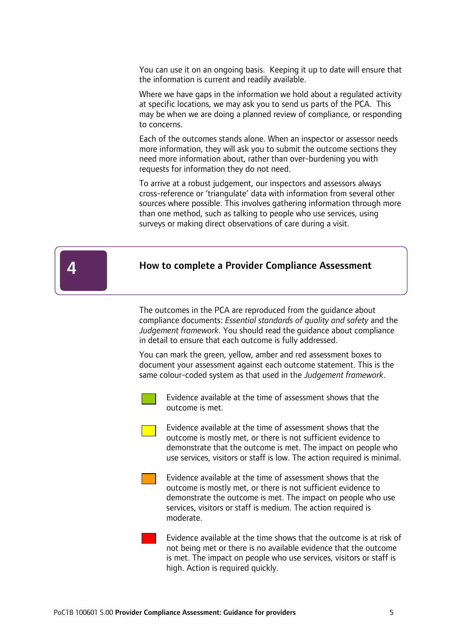You can use it on an ongoing basis. Keeping it up to date will ensure that the information is current and readily available.

Where we have gaps in the information we hold about a regulated activity at specific locations, we may ask you to send us parts of the PCA. This may be when we are doing a planned review of compliance, or responding to concerns.

Each of the outcomes stands alone. When an inspector or assessor needs more information, they will ask you to submit the outcome sections they need more information about, rather than over-burdening you with requests for information they do not need.

To arrive at a robust judgement, our inspectors and assessors always cross-reference or 'triangulate' data with information from several other sources where possible. This involves gathering information through more than one method, such as talking to people who use services, using surveys or making direct observations of care during a visit.

#### How to complete a Provider Compliance Assessment

The outcomes in the PCA are reproduced from the guidance about compliance documents: *Essential standards of quality and safety* and the *Judgement framework*. You should read the guidance about compliance in detail to ensure that each outcome is fully addressed.

You can mark the green, yellow, amber and red assessment boxes to document your assessment against each outcome statement. This is the same colour-coded system as that used in the *Judgement framework*.



 $\overline{1}$ 

4

Evidence available at the time of assessment shows that the outcome is met.

Evidence available at the time of assessment shows that the outcome is mostly met, or there is not sufficient evidence to demonstrate that the outcome is met. The impact on people who use services, visitors or staff is low. The action required is minimal.

Evidence available at the time of assessment shows that the outcome is mostly met, or there is not sufficient evidence to demonstrate the outcome is met. The impact on people who use services, visitors or staff is medium. The action required is moderate.

Evidence available at the time shows that the outcome is at risk of not being met or there is no available evidence that the outcome is met. The impact on people who use services, visitors or staff is high. Action is required quickly.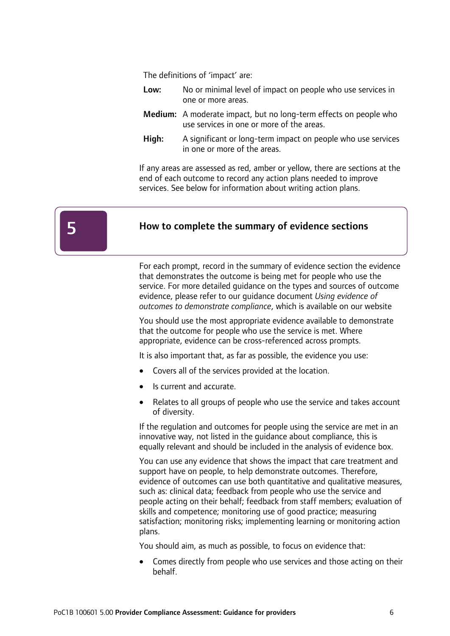The definitions of 'impact' are:

- Low: No or minimal level of impact on people who use services in one or more areas.
- Medium: A moderate impact, but no long-term effects on people who use services in one or more of the areas.
- High: A significant or long-term impact on people who use services in one or more of the areas.

If any areas are assessed as red, amber or yellow, there are sections at the end of each outcome to record any action plans needed to improve services. See below for information about writing action plans.



 $\overline{1}$ 

#### How to complete the summary of evidence sections

For each prompt, record in the summary of evidence section the evidence that demonstrates the outcome is being met for people who use the service. For more detailed guidance on the types and sources of outcome evidence, please refer to our guidance document *Using evidence of outcomes to demonstrate compliance*, which is available on our website

You should use the most appropriate evidence available to demonstrate that the outcome for people who use the service is met. Where appropriate, evidence can be cross-referenced across prompts.

It is also important that, as far as possible, the evidence you use:

- Covers all of the services provided at the location.
- Is current and accurate.
- Relates to all groups of people who use the service and takes account of diversity.

If the regulation and outcomes for people using the service are met in an innovative way, not listed in the guidance about compliance, this is equally relevant and should be included in the analysis of evidence box.

You can use any evidence that shows the impact that care treatment and support have on people, to help demonstrate outcomes. Therefore, evidence of outcomes can use both quantitative and qualitative measures, such as: clinical data; feedback from people who use the service and people acting on their behalf; feedback from staff members; evaluation of skills and competence; monitoring use of good practice; measuring satisfaction; monitoring risks; implementing learning or monitoring action plans.

You should aim, as much as possible, to focus on evidence that:

• Comes directly from people who use services and those acting on their behalf.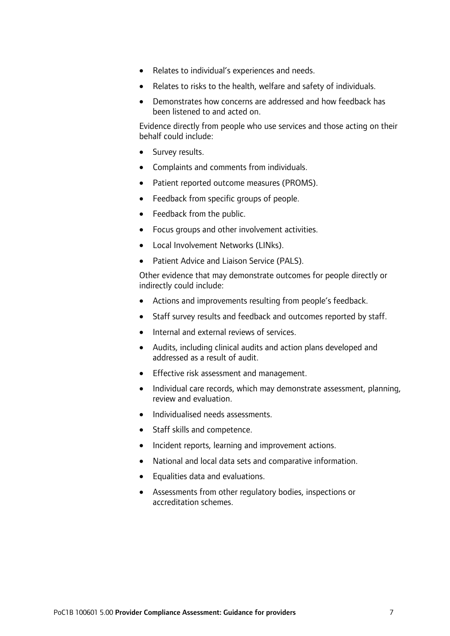- Relates to individual's experiences and needs.
- Relates to risks to the health, welfare and safety of individuals.
- Demonstrates how concerns are addressed and how feedback has been listened to and acted on.

Evidence directly from people who use services and those acting on their behalf could include:

- Survey results.
- Complaints and comments from individuals.
- Patient reported outcome measures (PROMS).
- Feedback from specific groups of people.
- Feedback from the public.
- Focus groups and other involvement activities.
- Local Involvement Networks (LINks).
- Patient Advice and Liaison Service (PALS).

Other evidence that may demonstrate outcomes for people directly or indirectly could include:

- Actions and improvements resulting from people's feedback.
- Staff survey results and feedback and outcomes reported by staff.
- Internal and external reviews of services.
- Audits, including clinical audits and action plans developed and addressed as a result of audit.
- Effective risk assessment and management.
- Individual care records, which may demonstrate assessment, planning, review and evaluation.
- Individualised needs assessments.
- Staff skills and competence.
- Incident reports, learning and improvement actions.
- National and local data sets and comparative information.
- Equalities data and evaluations.
- Assessments from other regulatory bodies, inspections or accreditation schemes.